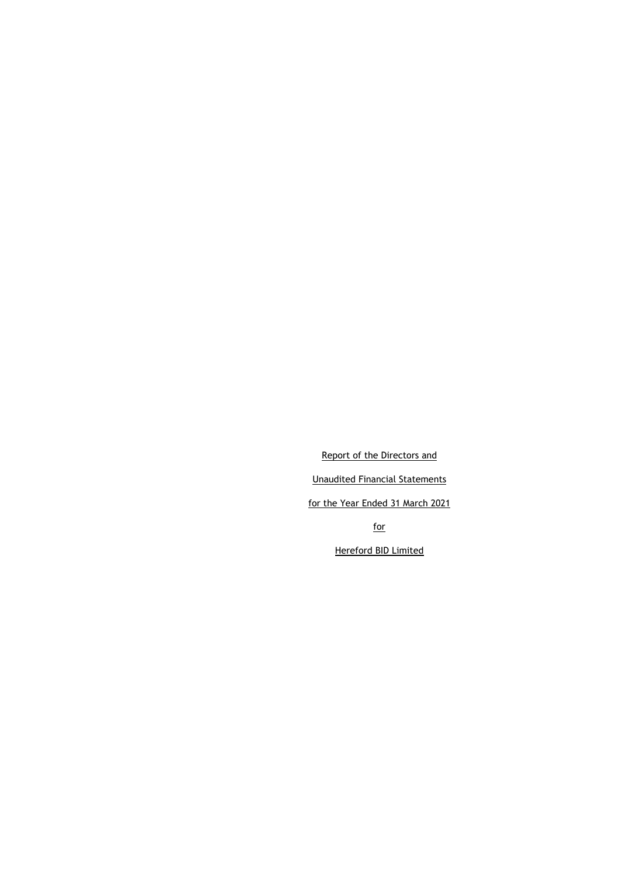Report of the Directors and Unaudited Financial Statements for the Year Ended 31 March 2021 for

Hereford BID Limited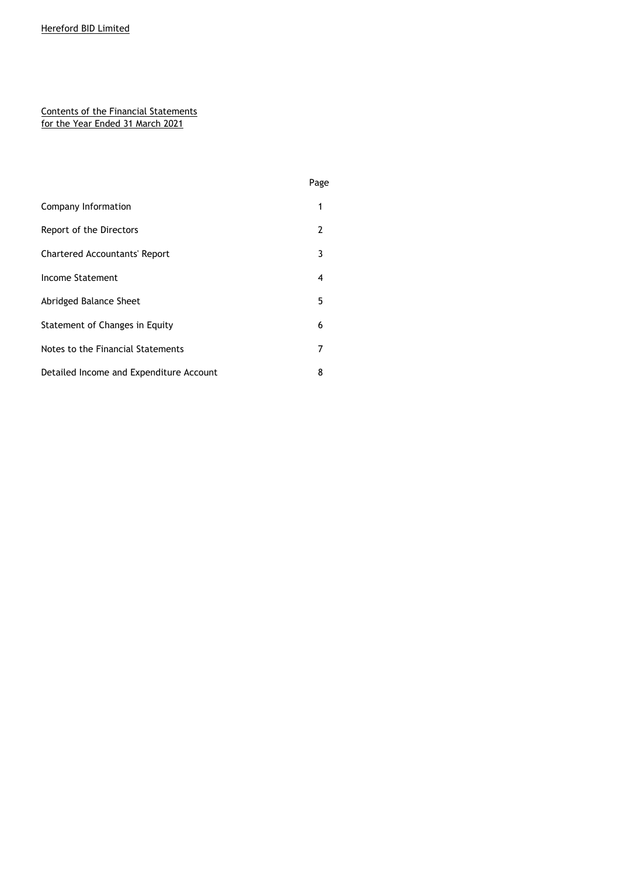### Contents of the Financial Statements for the Year Ended 31 March 2021

|                                         | Page |
|-----------------------------------------|------|
| Company Information                     | 1    |
| Report of the Directors                 | 2    |
| <b>Chartered Accountants' Report</b>    | 3    |
| Income Statement                        | 4    |
| Abridged Balance Sheet                  | 5    |
| Statement of Changes in Equity          | 6    |
| Notes to the Financial Statements       | 7    |
| Detailed Income and Expenditure Account | 8    |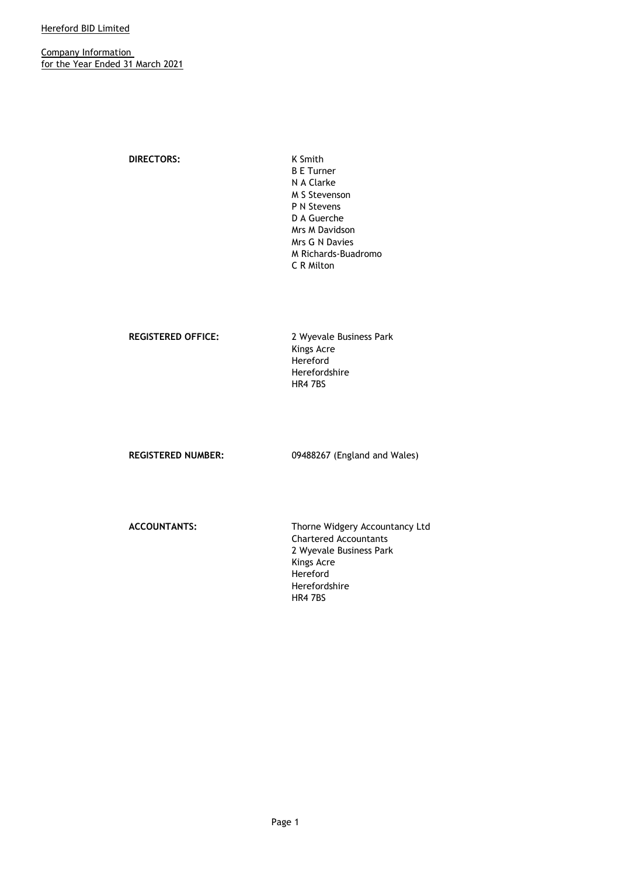Company Information for the Year Ended 31 March 2021

**DIRECTORS:** K Smith

B E Turner N A Clarke M S Stevenson P N Stevens D A Guerche Mrs M Davidson Mrs G N Davies M Richards-Buadromo C R Milton

**REGISTERED OFFICE:** 2 Wyevale Business Park Kings Acre Hereford Herefordshire HR4 7BS

**REGISTERED NUMBER:** 09488267 (England and Wales)

**ACCOUNTANTS:** Thorne Widgery Accountancy Ltd Chartered Accountants 2 Wyevale Business Park Kings Acre Hereford Herefordshire HR4 7BS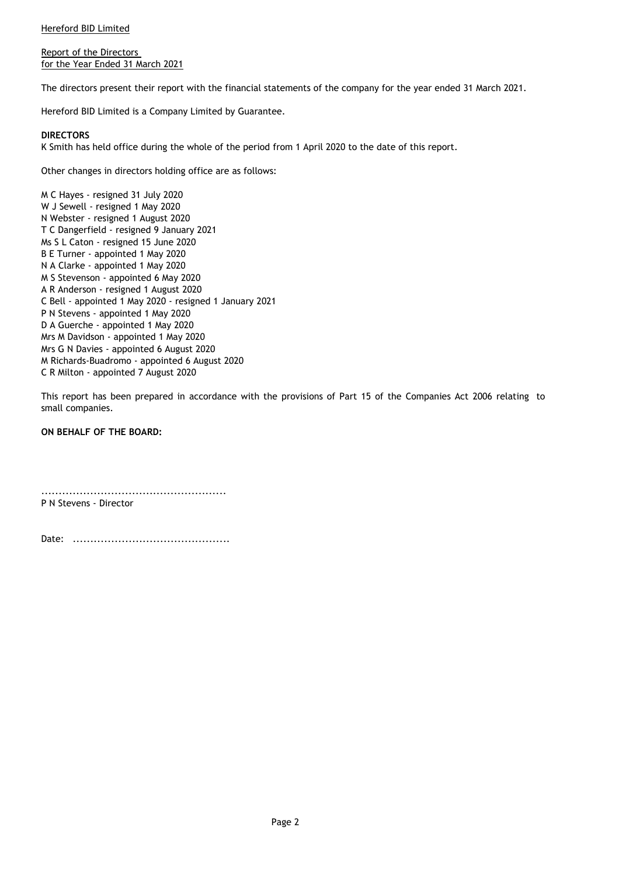Report of the Directors for the Year Ended 31 March 2021

The directors present their report with the financial statements of the company for the year ended 31 March 2021.

Hereford BID Limited is a Company Limited by Guarantee.

#### **DIRECTORS**

K Smith has held office during the whole of the period from 1 April 2020 to the date of this report.

Other changes in directors holding office are as follows:

M C Hayes - resigned 31 July 2020 W J Sewell - resigned 1 May 2020 N Webster - resigned 1 August 2020 T C Dangerfield - resigned 9 January 2021 Ms S L Caton - resigned 15 June 2020 B E Turner - appointed 1 May 2020 N A Clarke - appointed 1 May 2020 M S Stevenson - appointed 6 May 2020 A R Anderson - resigned 1 August 2020 C Bell - appointed 1 May 2020 - resigned 1 January 2021 P N Stevens - appointed 1 May 2020 D A Guerche - appointed 1 May 2020 Mrs M Davidson - appointed 1 May 2020 Mrs G N Davies - appointed 6 August 2020 M Richards-Buadromo - appointed 6 August 2020 C R Milton - appointed 7 August 2020

This report has been prepared in accordance with the provisions of Part 15 of the Companies Act 2006 relating to small companies.

**ON BEHALF OF THE BOARD:**

..................................................... P N Stevens - Director

Date: .............................................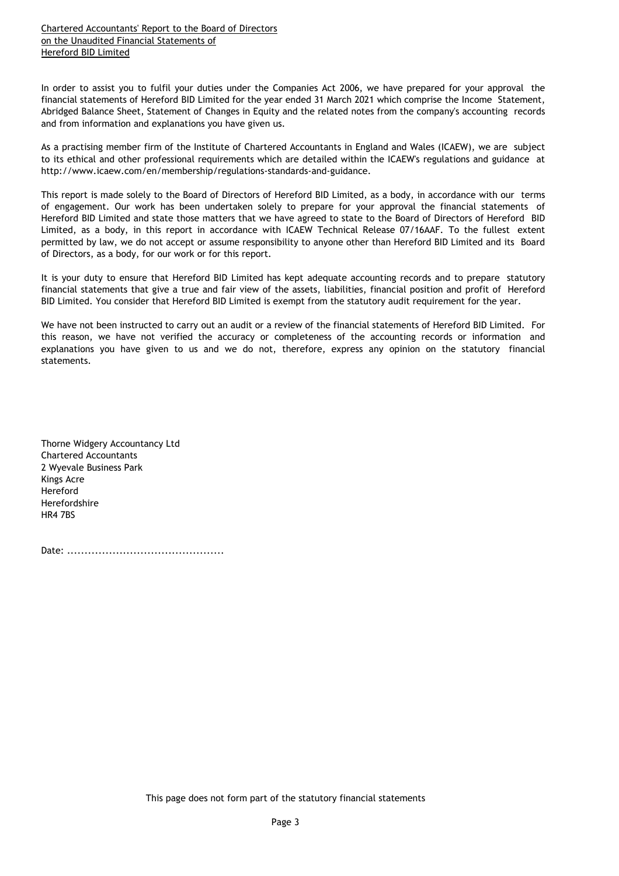Chartered Accountants' Report to the Board of Directors on the Unaudited Financial Statements of Hereford BID Limited

In order to assist you to fulfil your duties under the Companies Act 2006, we have prepared for your approval the financial statements of Hereford BID Limited for the year ended 31 March 2021 which comprise the Income Statement, Abridged Balance Sheet, Statement of Changes in Equity and the related notes from the company's accounting records and from information and explanations you have given us.

As a practising member firm of the Institute of Chartered Accountants in England and Wales (ICAEW), we are subject to its ethical and other professional requirements which are detailed within the ICAEW's regulations and guidance at http://www.icaew.com/en/membership/regulations-standards-and-guidance.

This report is made solely to the Board of Directors of Hereford BID Limited, as a body, in accordance with our terms of engagement. Our work has been undertaken solely to prepare for your approval the financial statements of Hereford BID Limited and state those matters that we have agreed to state to the Board of Directors of Hereford BID Limited, as a body, in this report in accordance with ICAEW Technical Release 07/16AAF. To the fullest extent permitted by law, we do not accept or assume responsibility to anyone other than Hereford BID Limited and its Board of Directors, as a body, for our work or for this report.

It is your duty to ensure that Hereford BID Limited has kept adequate accounting records and to prepare statutory financial statements that give a true and fair view of the assets, liabilities, financial position and profit of Hereford BID Limited. You consider that Hereford BID Limited is exempt from the statutory audit requirement for the year.

We have not been instructed to carry out an audit or a review of the financial statements of Hereford BID Limited. For this reason, we have not verified the accuracy or completeness of the accounting records or information and explanations you have given to us and we do not, therefore, express any opinion on the statutory financial statements.

Thorne Widgery Accountancy Ltd Chartered Accountants 2 Wyevale Business Park Kings Acre Hereford Herefordshire HR4 7BS

Date: .............................................

This page does not form part of the statutory financial statements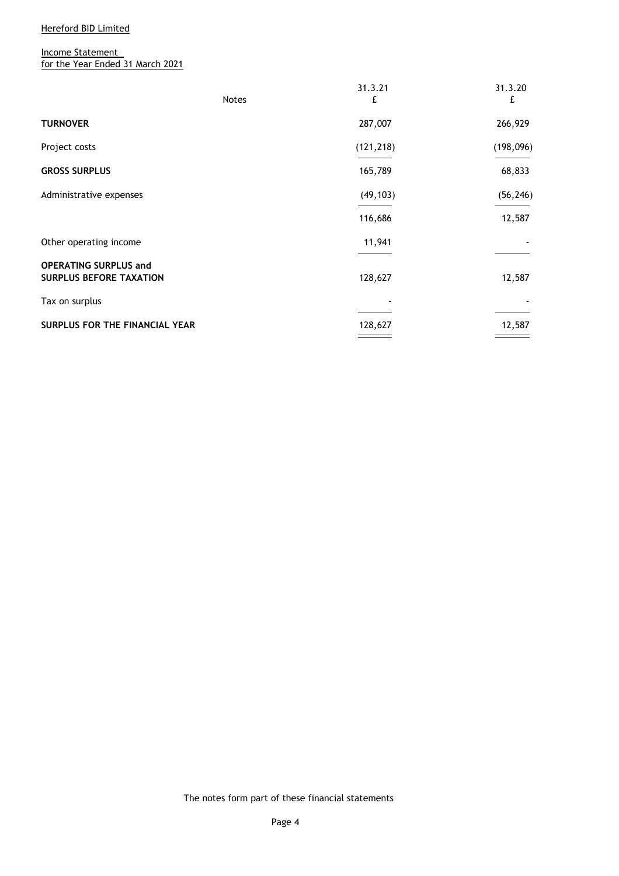Income Statement for the Year Ended 31 March 2021

|                                                                | <b>Notes</b> | 31.3.21<br>£ | 31.3.20<br>£ |
|----------------------------------------------------------------|--------------|--------------|--------------|
| <b>TURNOVER</b>                                                |              | 287,007      | 266,929      |
| Project costs                                                  |              | (121, 218)   | (198, 096)   |
| <b>GROSS SURPLUS</b>                                           |              | 165,789      | 68,833       |
| Administrative expenses                                        |              | (49, 103)    | (56, 246)    |
|                                                                |              | 116,686      | 12,587       |
| Other operating income                                         |              | 11,941       |              |
| <b>OPERATING SURPLUS and</b><br><b>SURPLUS BEFORE TAXATION</b> |              | 128,627      | 12,587       |
| Tax on surplus                                                 |              |              |              |
| <b>SURPLUS FOR THE FINANCIAL YEAR</b>                          |              | 128,627      | 12,587       |

The notes form part of these financial statements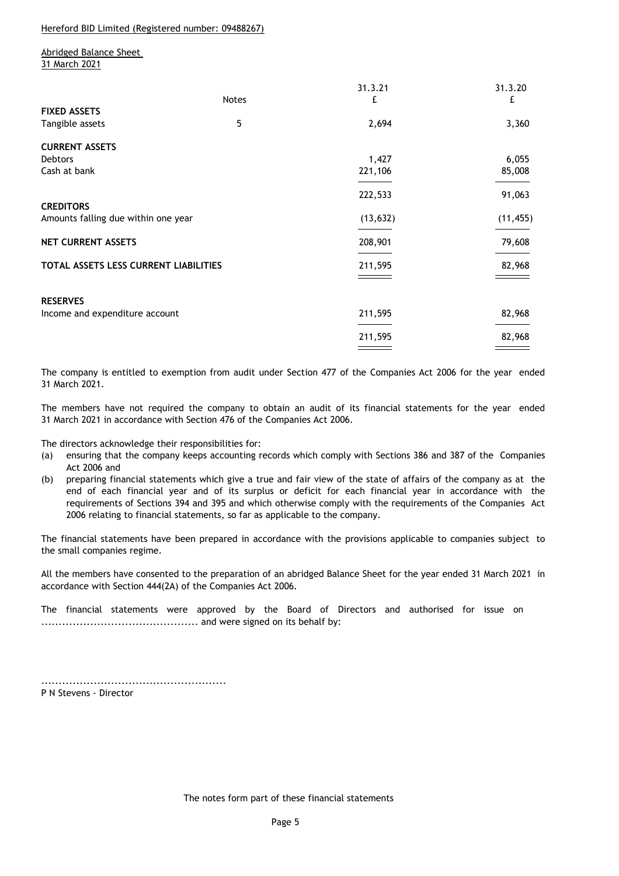Hereford BID Limited (Registered number: 09488267)

Abridged Balance Sheet 31 March 2021

|                                       |              | 31.3.21   | 31.3.20   |
|---------------------------------------|--------------|-----------|-----------|
|                                       | <b>Notes</b> | £         | £         |
| <b>FIXED ASSETS</b>                   |              |           |           |
| Tangible assets                       | 5            | 2,694     | 3,360     |
| <b>CURRENT ASSETS</b>                 |              |           |           |
| Debtors                               |              | 1,427     | 6,055     |
| Cash at bank                          |              | 221,106   | 85,008    |
|                                       |              | 222,533   | 91,063    |
| <b>CREDITORS</b>                      |              |           |           |
| Amounts falling due within one year   |              | (13, 632) | (11, 455) |
| <b>NET CURRENT ASSETS</b>             |              | 208,901   | 79,608    |
| TOTAL ASSETS LESS CURRENT LIABILITIES |              | 211,595   | 82,968    |
|                                       |              |           |           |
| <b>RESERVES</b>                       |              |           |           |
| Income and expenditure account        |              | 211,595   | 82,968    |
|                                       |              | 211,595   | 82,968    |
|                                       |              |           |           |

The company is entitled to exemption from audit under Section 477 of the Companies Act 2006 for the year ended 31 March 2021.

The members have not required the company to obtain an audit of its financial statements for the year ended 31 March 2021 in accordance with Section 476 of the Companies Act 2006.

The directors acknowledge their responsibilities for:

- (a) ensuring that the company keeps accounting records which comply with Sections 386 and 387 of the Companies Act 2006 and
- (b) preparing financial statements which give a true and fair view of the state of affairs of the company as at the end of each financial year and of its surplus or deficit for each financial year in accordance with the requirements of Sections 394 and 395 and which otherwise comply with the requirements of the Companies Act 2006 relating to financial statements, so far as applicable to the company.

The financial statements have been prepared in accordance with the provisions applicable to companies subject to the small companies regime.

All the members have consented to the preparation of an abridged Balance Sheet for the year ended 31 March 2021 in accordance with Section 444(2A) of the Companies Act 2006.

The financial statements were approved by the Board of Directors and authorised for issue on ............................................. and were signed on its behalf by:

..................................................... P N Stevens - Director

The notes form part of these financial statements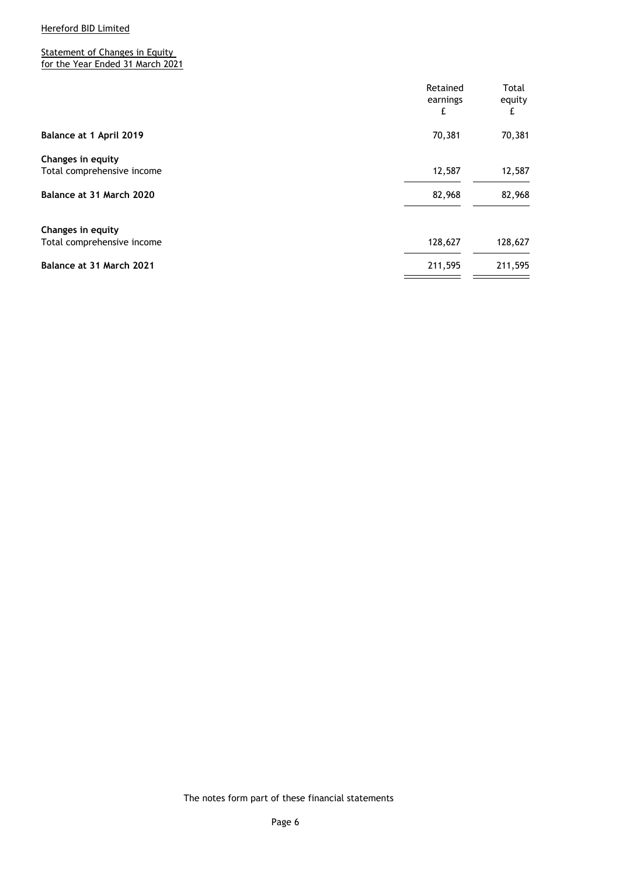**Statement of Changes in Equity** for the Year Ended 31 March 2021

|                                                 | Retained<br>earnings<br>£ | Total<br>equity<br>£ |
|-------------------------------------------------|---------------------------|----------------------|
|                                                 |                           |                      |
| Balance at 1 April 2019                         | 70,381                    | 70,381               |
| Changes in equity<br>Total comprehensive income | 12,587                    | 12,587               |
| Balance at 31 March 2020                        | 82,968                    | 82,968               |
| Changes in equity                               |                           |                      |
| Total comprehensive income                      | 128,627                   | 128,627              |
| Balance at 31 March 2021                        | 211,595                   | 211,595              |

The notes form part of these financial statements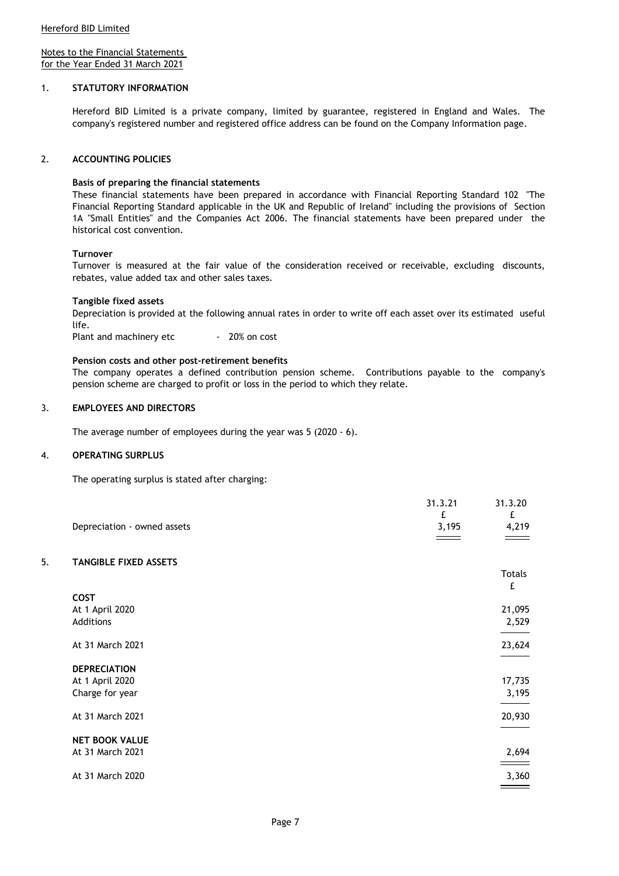Notes to the Financial Statements for the Year Ended 31 March 2021

#### 1. **STATUTORY INFORMATION**

Hereford BID Limited is a private company, limited by guarantee, registered in England and Wales. The company's registered number and registered office address can be found on the Company Information page.

#### 2. **ACCOUNTING POLICIES**

#### **Basis of preparing the financial statements**

These financial statements have been prepared in accordance with Financial Reporting Standard 102 "The Financial Reporting Standard applicable in the UK and Republic of Ireland" including the provisions of Section 1A "Small Entities" and the Companies Act 2006. The financial statements have been prepared under the historical cost convention.

#### **Turnover**

Turnover is measured at the fair value of the consideration received or receivable, excluding discounts, rebates, value added tax and other sales taxes.

#### **Tangible fixed assets**

Depreciation is provided at the following annual rates in order to write off each asset over its estimated useful life.

Plant and machinery etc - 20% on cost

#### **Pension costs and other post-retirement benefits**

The company operates a defined contribution pension scheme. Contributions payable to the company's pension scheme are charged to profit or loss in the period to which they relate.

31.3.21 31.3.20

#### 3. **EMPLOYEES AND DIRECTORS**

The average number of employees during the year was 5 (2020 - 6).

#### 4. **OPERATING SURPLUS**

The operating surplus is stated after charging:

|    |                              | <b>JI.J.LI</b><br>£ | <b>JI.J.LU</b><br>£ |
|----|------------------------------|---------------------|---------------------|
|    | Depreciation - owned assets  | 3,195               | 4,219               |
|    |                              |                     |                     |
| 5. | <b>TANGIBLE FIXED ASSETS</b> |                     |                     |
|    |                              |                     | <b>Totals</b>       |
|    |                              |                     | £                   |
|    | COST                         |                     |                     |
|    | At 1 April 2020              |                     | 21,095              |
|    | Additions                    |                     | 2,529               |
|    | At 31 March 2021             |                     | 23,624              |
|    |                              |                     |                     |
|    | <b>DEPRECIATION</b>          |                     |                     |
|    | At 1 April 2020              |                     | 17,735              |
|    | Charge for year              |                     | 3,195               |
|    | At 31 March 2021             |                     | 20,930              |
|    | <b>NET BOOK VALUE</b>        |                     |                     |
|    | At 31 March 2021             |                     | 2,694               |
|    | At 31 March 2020             |                     | 3,360               |
|    |                              |                     |                     |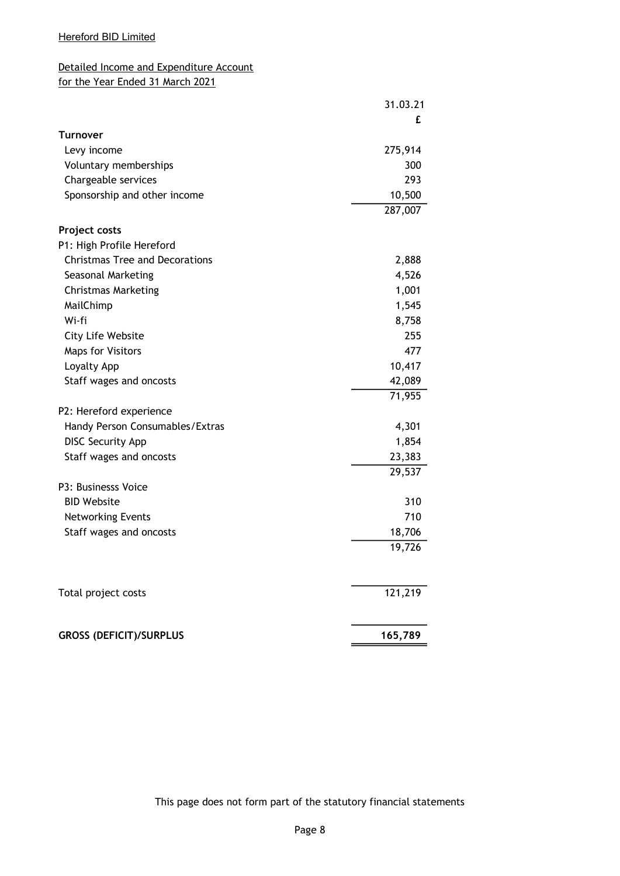# Detailed Income and Expenditure Account for the Year Ended 31 March 2021

|                                       | 31.03.21 |
|---------------------------------------|----------|
|                                       | £        |
| Turnover                              |          |
| Levy income                           | 275,914  |
| Voluntary memberships                 | 300      |
| Chargeable services                   | 293      |
| Sponsorship and other income          | 10,500   |
|                                       | 287,007  |
| Project costs                         |          |
| P1: High Profile Hereford             |          |
| <b>Christmas Tree and Decorations</b> | 2,888    |
| Seasonal Marketing                    | 4,526    |
| <b>Christmas Marketing</b>            | 1,001    |
| MailChimp                             | 1,545    |
| Wi-fi                                 | 8,758    |
| City Life Website                     | 255      |
| <b>Maps for Visitors</b>              | 477      |
| Loyalty App                           | 10,417   |
| Staff wages and oncosts               | 42,089   |
|                                       | 71,955   |
| P2: Hereford experience               |          |
| Handy Person Consumables/Extras       | 4,301    |
| <b>DISC Security App</b>              | 1,854    |
| Staff wages and oncosts               | 23,383   |
|                                       | 29,537   |
| P3: Businesss Voice                   |          |
| <b>BID Website</b>                    | 310      |
| Networking Events                     | 710      |
| Staff wages and oncosts               | 18,706   |
|                                       | 19,726   |
| Total project costs                   | 121,219  |
| <b>GROSS (DEFICIT)/SURPLUS</b>        | 165,789  |